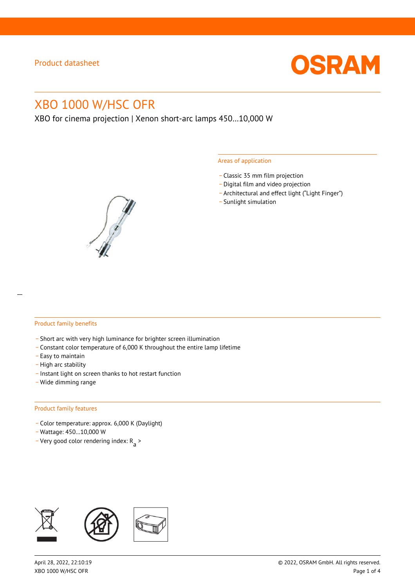

# XBO 1000 W/HSC OFR

XBO for cinema projection | Xenon short-arc lamps 450…10,000 W

#### Areas of application

- \_ Classic 35 mm film projection
- \_ Digital film and video projection
- \_ Architectural and effect light ("Light Finger")
- Sunlight simulation



#### Product family benefits

- \_ Short arc with very high luminance for brighter screen illumination
- \_ Constant color temperature of 6,000 K throughout the entire lamp lifetime
- \_ Easy to maintain
- High arc stability
- \_ Instant light on screen thanks to hot restart function
- \_ Wide dimming range

#### Product family features

- \_ Color temperature: approx. 6,000 K (Daylight)
- \_ Wattage: 450…10,000 W
- Very good color rendering index:  $R_{\text{a}}$  >

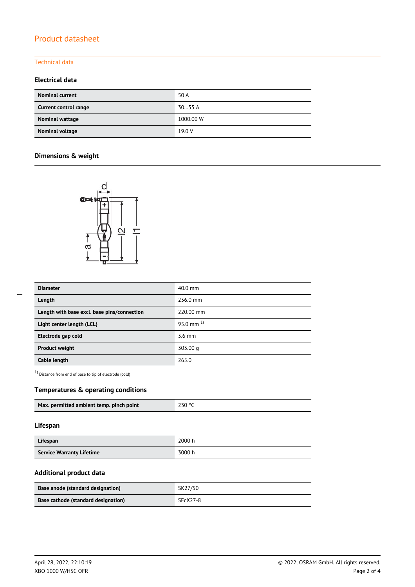# Product datasheet

#### Technical data

## **Electrical data**

| <b>Nominal current</b> | 50 A      |
|------------------------|-----------|
| Current control range  | 3055A     |
| Nominal wattage        | 1000.00 W |
| Nominal voltage        | 19.0 V    |

# **Dimensions & weight**



| <b>Diameter</b>                             | 40.0 mm        |  |
|---------------------------------------------|----------------|--|
| Length                                      | 236.0 mm       |  |
| Length with base excl. base pins/connection | 220.00 mm      |  |
| Light center length (LCL)                   | 95.0 mm $^{1}$ |  |
| Electrode gap cold                          | $3.6$ mm       |  |
| <b>Product weight</b>                       | 303.00 g       |  |
| Cable length                                | 265.0          |  |

1) Distance from end of base to tip of electrode (cold)

## **Temperatures & operating conditions**

| Max. permitted ambient temp. pinch point | 230 °C |
|------------------------------------------|--------|

## **Lifespan**

| Lifespan                         | 2000 h |
|----------------------------------|--------|
| <b>Service Warranty Lifetime</b> | 3000 h |

## **Additional product data**

| Base anode (standard designation)   | SK27/50    |
|-------------------------------------|------------|
| Base cathode (standard designation) | $SFCX27-8$ |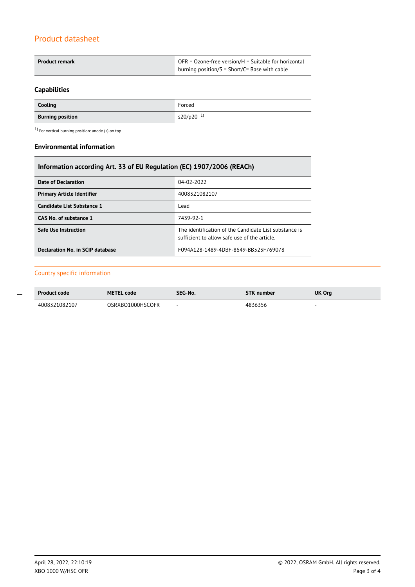# Product datasheet

| Product remark | $OFR = Ozone-free version/H = Suitable for horizontal$ |  |
|----------------|--------------------------------------------------------|--|
|                | burning position/S = Short/C= Base with cable          |  |

# **Capabilities**

| Cooling                 | Forced                |
|-------------------------|-----------------------|
| <b>Burning position</b> | s20/p20 <sup>1)</sup> |

 $1)$  For vertical burning position: anode (+) on top

## **Environmental information**

| Information according Art. 33 of EU Regulation (EC) 1907/2006 (REACh) |                                                                                                       |  |  |
|-----------------------------------------------------------------------|-------------------------------------------------------------------------------------------------------|--|--|
| <b>Date of Declaration</b>                                            | 04-02-2022                                                                                            |  |  |
| <b>Primary Article Identifier</b>                                     | 4008321082107                                                                                         |  |  |
| Candidate List Substance 1                                            | Lead                                                                                                  |  |  |
| CAS No. of substance 1                                                | 7439-92-1                                                                                             |  |  |
| <b>Safe Use Instruction</b>                                           | The identification of the Candidate List substance is<br>sufficient to allow safe use of the article. |  |  |
| Declaration No. in SCIP database                                      | F094A128-1489-4DBF-8649-BB523F769078                                                                  |  |  |

### Country specific information

| <b>Product code</b> | <b>METEL code</b> | SEG-No. | <b>STK number</b> | <b>UK Org</b> |
|---------------------|-------------------|---------|-------------------|---------------|
| 4008321082107       | OSRXBO1000HSCOFR  | $\sim$  | 4836356           |               |